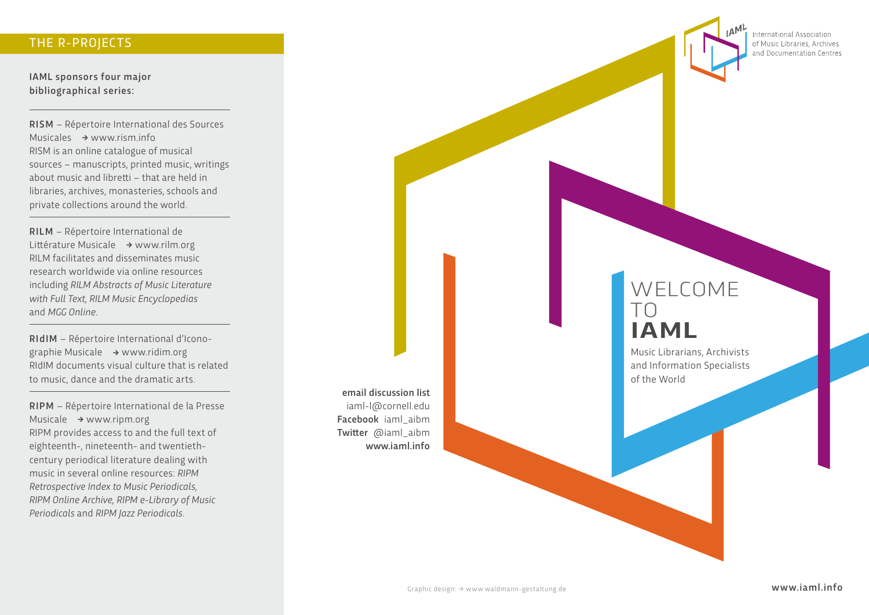#### THE R-PROJECTS

IAML sponsors four major bibliographical series:

RISM – Répertoire International des Sources Musicales  $\rightarrow$  [www.rism.info](http://www.rism.info/). RISM is an online catalogue of musical sources – manuscripts, printed music, writings about music and libretti – that are held in libraries, archives, monasteries, schools and private collections around the world.

RILM – Répertoire International de Littérature Musicale **�** [www.rilm.org](http://www.rilm.org/) RILM facilitates and disseminates music research worldwide via online resources including *RILM Abstracts of Music Literature with Full Text, RILM Music Encyclopedias* and *MGG Online*.

RIdIM – Répertoire International d'Iconographie Musicale **�** www.[ridim.org](https://ridim.org/) RIdIM documents visual culture that is related to music, dance and the dramatic arts.

RIPM – Répertoire International de la Presse Musicale **�** [www.ripm.org](http://www.ripm.org/) RIPM provides access to and the full text of eighteenth-, nineteenth- and twentiethcentury periodical literature dealing with music in several online resources: *RIPM Retrospective Index to Music Periodicals, RIPM Online Archive, RIPM e-Library of Music Periodicals* and *RIPM Jazz Periodicals.*

email discussion list iaml-l@cornell.edu Facebook iaml\_aibm Twitter @iaml\_aibm www.jaml.info

**International Association** of Music Libraries, Archives and Documentation Centres

# WELCOME TO **IAML**

Music Librarians, Archivists and Information Specialists of the World